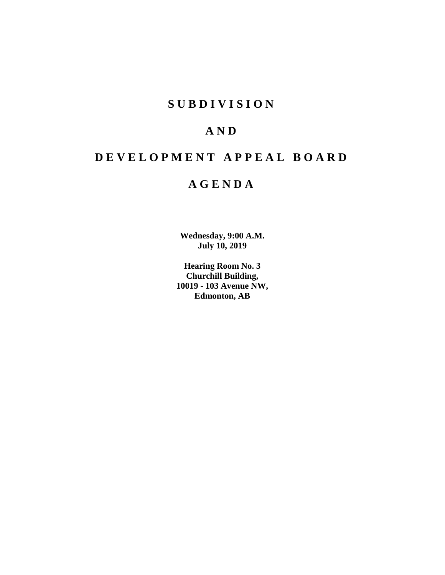# **S U B D I V I S I O N**

# **A N D**

# **D E V E L O P M E N T A P P E A L B O A R D**

# **A G E N D A**

**Wednesday, 9:00 A.M. July 10, 2019**

**Hearing Room No. 3 Churchill Building, 10019 - 103 Avenue NW, Edmonton, AB**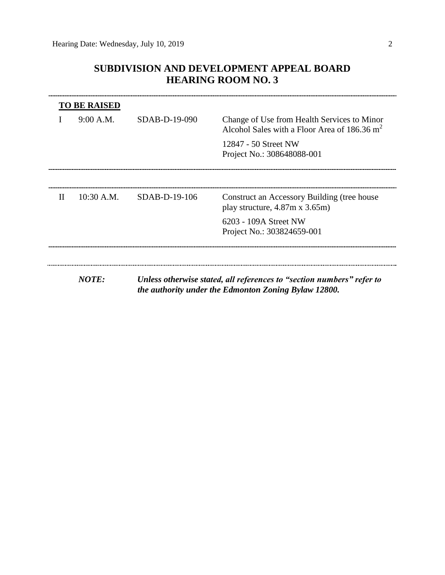# **SUBDIVISION AND DEVELOPMENT APPEAL BOARD HEARING ROOM NO. 3**

|              | <b>TO BE RAISED</b> |                                                                                                                               |                                                                                               |  |  |  |
|--------------|---------------------|-------------------------------------------------------------------------------------------------------------------------------|-----------------------------------------------------------------------------------------------|--|--|--|
|              | 9:00 A.M.           | $SDAB-D-19-090$                                                                                                               | Change of Use from Health Services to Minor<br>Alcohol Sales with a Floor Area of 186.36 $m2$ |  |  |  |
|              |                     |                                                                                                                               | 12847 - 50 Street NW                                                                          |  |  |  |
|              |                     |                                                                                                                               | Project No.: 308648088-001                                                                    |  |  |  |
|              |                     |                                                                                                                               |                                                                                               |  |  |  |
| $\mathbf{H}$ | $10:30$ A.M.        | SDAB-D-19-106                                                                                                                 | Construct an Accessory Building (tree house<br>play structure, $4.87m \times 3.65m$ )         |  |  |  |
|              |                     |                                                                                                                               | 6203 - 109A Street NW                                                                         |  |  |  |
|              |                     |                                                                                                                               | Project No.: 303824659-001                                                                    |  |  |  |
|              |                     |                                                                                                                               |                                                                                               |  |  |  |
|              |                     |                                                                                                                               |                                                                                               |  |  |  |
|              | <b>NOTE:</b>        | Unless otherwise stated, all references to "section numbers" refer to<br>the authority under the Edmonton Zoning Bylaw 12800. |                                                                                               |  |  |  |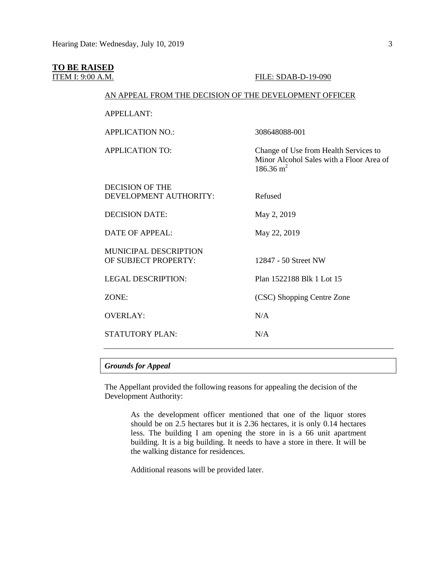### **TO BE RAISED**

#### **ITEM I: 9:00 A.M. FILE: SDAB-D-19-090**

 $186.36 \text{ m}^2$ 

Minor Alcohol Sales with a Floor Area of

#### AN APPEAL FROM THE DECISION OF THE DEVELOPMENT OFFICER

| APPELLANT: |
|------------|
|------------|

APPLICATION NO.: 308648088-001

APPLICATION TO: Change of Use from Health Services to

| DECISION OF THE<br>DEVELOPMENT AUTHORITY:            | Refused                    |
|------------------------------------------------------|----------------------------|
| <b>DECISION DATE:</b>                                | May 2, 2019                |
| <b>DATE OF APPEAL:</b>                               | May 22, 2019               |
| <b>MUNICIPAL DESCRIPTION</b><br>OF SUBJECT PROPERTY: | 12847 - 50 Street NW       |
| <b>LEGAL DESCRIPTION:</b>                            | Plan 1522188 Blk 1 Lot 15  |
| ZONE:                                                | (CSC) Shopping Centre Zone |
| <b>OVERLAY:</b>                                      | N/A                        |
| <b>STATUTORY PLAN:</b>                               | N/A                        |

#### *Grounds for Appeal*

The Appellant provided the following reasons for appealing the decision of the Development Authority:

> As the development officer mentioned that one of the liquor stores should be on 2.5 hectares but it is 2.36 hectares, it is only 0.14 hectares less. The building I am opening the store in is a 66 unit apartment building. It is a big building. It needs to have a store in there. It will be the walking distance for residences.

Additional reasons will be provided later.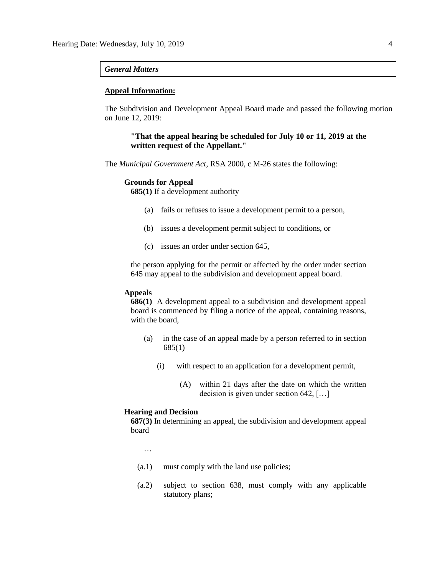#### *General Matters*

#### **Appeal Information:**

The Subdivision and Development Appeal Board made and passed the following motion on June 12, 2019:

### **"That the appeal hearing be scheduled for July 10 or 11, 2019 at the written request of the Appellant."**

The *Municipal Government Act*, RSA 2000, c M-26 states the following:

#### **Grounds for Appeal**

**685(1)** If a development authority

- (a) fails or refuses to issue a development permit to a person,
- (b) issues a development permit subject to conditions, or
- (c) issues an order under section 645,

the person applying for the permit or affected by the order under section 645 may appeal to the subdivision and development appeal board.

#### **Appeals**

**686(1)** A development appeal to a subdivision and development appeal board is commenced by filing a notice of the appeal, containing reasons, with the board,

- (a) in the case of an appeal made by a person referred to in section 685(1)
	- (i) with respect to an application for a development permit,
		- (A) within 21 days after the date on which the written decision is given under section 642, […]

#### **Hearing and Decision**

**687(3)** In determining an appeal, the subdivision and development appeal board

- …
- (a.1) must comply with the land use policies;
- (a.2) subject to section 638, must comply with any applicable statutory plans;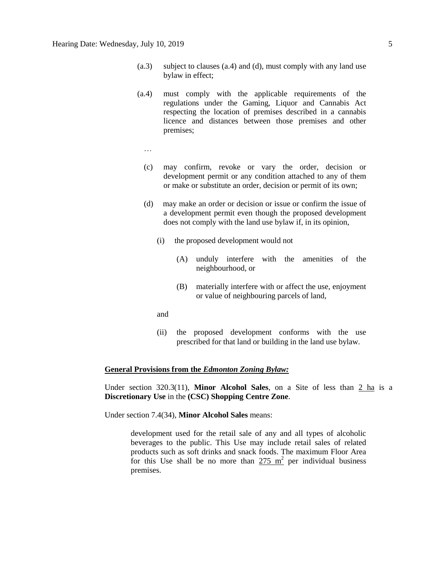- (a.3) subject to clauses (a.4) and (d), must comply with any land use bylaw in effect;
- (a.4) must comply with the applicable requirements of the regulations under the Gaming, Liquor and Cannabis Act respecting the location of premises described in a cannabis licence and distances between those premises and other premises;
	- …
	- (c) may confirm, revoke or vary the order, decision or development permit or any condition attached to any of them or make or substitute an order, decision or permit of its own;
	- (d) may make an order or decision or issue or confirm the issue of a development permit even though the proposed development does not comply with the land use bylaw if, in its opinion,
		- (i) the proposed development would not
			- (A) unduly interfere with the amenities of the neighbourhood, or
			- (B) materially interfere with or affect the use, enjoyment or value of neighbouring parcels of land,
		- and
		- (ii) the proposed development conforms with the use prescribed for that land or building in the land use bylaw.

#### **General Provisions from the** *Edmonton Zoning Bylaw:*

Under section 320.3(11), **Minor Alcohol Sales**, on a Site of less than 2 ha is a **Discretionary Use** in the **(CSC) Shopping Centre Zone**.

Under section 7.4(34), **Minor Alcohol Sales** means:

development used for the retail sale of any and all types of alcoholic beverages to the public. This Use may include retail sales of related products such as soft drinks and snack foods. The maximum Floor Area for this Use shall be no more than  $275 \text{ m}^2$  per individual business premises.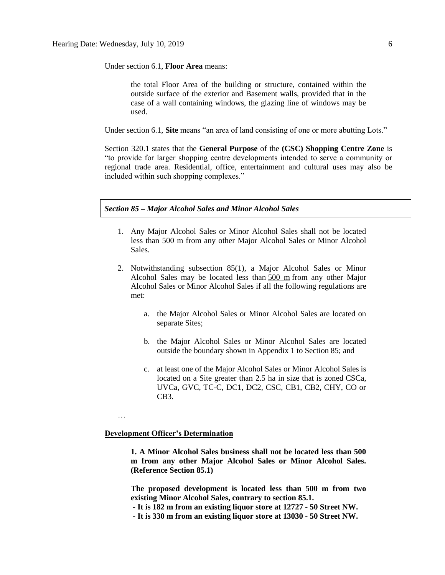Under section 6.1, **Floor Area** means:

the total Floor Area of the building or structure, contained within the outside surface of the exterior and Basement walls, provided that in the case of a wall containing windows, the glazing line of windows may be used.

Under section 6.1, **Site** means "an area of land consisting of one or more abutting Lots."

Section 320.1 states that the **General Purpose** of the **(CSC) Shopping Centre Zone** is "to provide for larger shopping centre developments intended to serve a community or regional trade area. Residential, office, entertainment and cultural uses may also be included within such shopping complexes."

#### *Section 85 – Major Alcohol Sales and Minor Alcohol Sales*

- 1. Any Major Alcohol Sales or Minor Alcohol Sales shall not be located less than 500 m from any other Major Alcohol Sales or Minor Alcohol Sales.
- 2. Notwithstanding subsection 85(1), a Major Alcohol Sales or Minor Alcohol Sales may be located less than [500 m](javascript:void(0);) from any other Major Alcohol Sales or Minor Alcohol Sales if all the following regulations are met:
	- a. the Major Alcohol Sales or Minor Alcohol Sales are located on separate Sites;
	- b. the Major Alcohol Sales or Minor Alcohol Sales are located outside the boundary shown in Appendix 1 to Section 85; and
	- c. at least one of the Major Alcohol Sales or Minor Alcohol Sales is located on a Site greater than 2.5 ha in size that is zoned CSCa, UVCa, GVC, TC-C, DC1, DC2, CSC, CB1, CB2, CHY, CO or CB3.

# …

#### **Development Officer's Determination**

**1. A Minor Alcohol Sales business shall not be located less than 500 m from any other Major Alcohol Sales or Minor Alcohol Sales. (Reference Section 85.1)**

**The proposed development is located less than 500 m from two existing Minor Alcohol Sales, contrary to section 85.1.**

- **- It is 182 m from an existing liquor store at 12727 - 50 Street NW.**
- **- It is 330 m from an existing liquor store at 13030 - 50 Street NW.**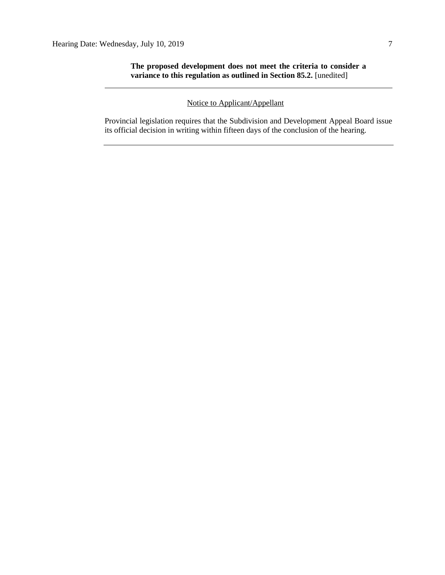**The proposed development does not meet the criteria to consider a variance to this regulation as outlined in Section 85.2.** [unedited]

# Notice to Applicant/Appellant

Provincial legislation requires that the Subdivision and Development Appeal Board issue its official decision in writing within fifteen days of the conclusion of the hearing.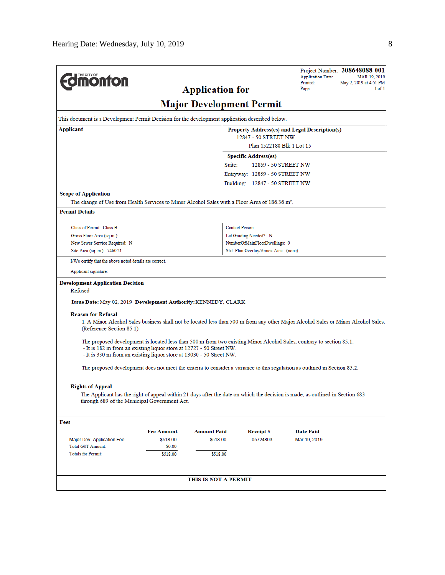| <b>monton</b>                                                                                                                                                                                                                                                        |                                                                                                                                   |                        |                                       | Project Number: 308648088-001<br><b>Application Date:</b><br>Printed:<br>May 2, 2019 at 4:51 PM | MAR 19, 2019 |  |
|----------------------------------------------------------------------------------------------------------------------------------------------------------------------------------------------------------------------------------------------------------------------|-----------------------------------------------------------------------------------------------------------------------------------|------------------------|---------------------------------------|-------------------------------------------------------------------------------------------------|--------------|--|
|                                                                                                                                                                                                                                                                      |                                                                                                                                   | <b>Application for</b> |                                       | Page:                                                                                           | 1 of 1       |  |
| <b>Major Development Permit</b>                                                                                                                                                                                                                                      |                                                                                                                                   |                        |                                       |                                                                                                 |              |  |
| This document is a Development Permit Decision for the development application described below.                                                                                                                                                                      |                                                                                                                                   |                        |                                       |                                                                                                 |              |  |
| Applicant                                                                                                                                                                                                                                                            | Property Address(es) and Legal Description(s)                                                                                     |                        |                                       |                                                                                                 |              |  |
| 12847 - 50 STREET NW<br>Plan 1522188 Blk 1 Lot 15                                                                                                                                                                                                                    |                                                                                                                                   |                        |                                       |                                                                                                 |              |  |
| <b>Specific Address(es)</b>                                                                                                                                                                                                                                          |                                                                                                                                   |                        |                                       |                                                                                                 |              |  |
|                                                                                                                                                                                                                                                                      |                                                                                                                                   | Suite:                 | 12859 - 50 STREET NW                  |                                                                                                 |              |  |
|                                                                                                                                                                                                                                                                      |                                                                                                                                   |                        | Entryway: 12859 - 50 STREET NW        |                                                                                                 |              |  |
|                                                                                                                                                                                                                                                                      |                                                                                                                                   |                        | Building: 12847 - 50 STREET NW        |                                                                                                 |              |  |
| <b>Scope of Application</b>                                                                                                                                                                                                                                          |                                                                                                                                   |                        |                                       |                                                                                                 |              |  |
| The change of Use from Health Services to Minor Alcohol Sales with a Floor Area of 186.36 m <sup>2</sup> .                                                                                                                                                           |                                                                                                                                   |                        |                                       |                                                                                                 |              |  |
| <b>Permit Details</b>                                                                                                                                                                                                                                                |                                                                                                                                   |                        |                                       |                                                                                                 |              |  |
| Class of Permit: Class B                                                                                                                                                                                                                                             |                                                                                                                                   |                        | <b>Contact Person:</b>                |                                                                                                 |              |  |
| Gross Floor Area (sq.m.):                                                                                                                                                                                                                                            |                                                                                                                                   |                        | Lot Grading Needed?: N                |                                                                                                 |              |  |
| New Sewer Service Required: N                                                                                                                                                                                                                                        |                                                                                                                                   |                        | NumberOfMainFloorDwellings: 0         |                                                                                                 |              |  |
| Site Area (sq. m.): 7460.21                                                                                                                                                                                                                                          |                                                                                                                                   |                        | Stat. Plan Overlay/Annex Area: (none) |                                                                                                 |              |  |
| I/We certify that the above noted details are correct.                                                                                                                                                                                                               |                                                                                                                                   |                        |                                       |                                                                                                 |              |  |
| Applicant signature:                                                                                                                                                                                                                                                 |                                                                                                                                   |                        |                                       |                                                                                                 |              |  |
| <b>Development Application Decision</b>                                                                                                                                                                                                                              |                                                                                                                                   |                        |                                       |                                                                                                 |              |  |
| Refused                                                                                                                                                                                                                                                              |                                                                                                                                   |                        |                                       |                                                                                                 |              |  |
| Issue Date: May 02, 2019 Development Authority: KENNEDY, CLARK                                                                                                                                                                                                       |                                                                                                                                   |                        |                                       |                                                                                                 |              |  |
| <b>Reason for Refusal</b>                                                                                                                                                                                                                                            |                                                                                                                                   |                        |                                       |                                                                                                 |              |  |
| (Reference Section 85.1)                                                                                                                                                                                                                                             | 1. A Minor Alcohol Sales business shall not be located less than 500 m from any other Major Alcohol Sales or Minor Alcohol Sales. |                        |                                       |                                                                                                 |              |  |
| The proposed development is located less than 500 m from two existing Minor Alcohol Sales, contrary to section 85.1.<br>- It is 182 m from an existing liquor store at 12727 - 50 Street NW.<br>- It is 330 m from an existing liquor store at 13030 - 50 Street NW. |                                                                                                                                   |                        |                                       |                                                                                                 |              |  |
| The proposed development does not meet the criteria to consider a variance to this regulation as outlined in Section 85.2.                                                                                                                                           |                                                                                                                                   |                        |                                       |                                                                                                 |              |  |
| <b>Rights of Appeal</b>                                                                                                                                                                                                                                              |                                                                                                                                   |                        |                                       |                                                                                                 |              |  |
| The Applicant has the right of appeal within 21 days after the date on which the decision is made, as outlined in Section 683<br>through 689 of the Municipal Government Act.                                                                                        |                                                                                                                                   |                        |                                       |                                                                                                 |              |  |
| Fees                                                                                                                                                                                                                                                                 |                                                                                                                                   |                        |                                       |                                                                                                 |              |  |
|                                                                                                                                                                                                                                                                      | <b>Fee Amount</b>                                                                                                                 | <b>Amount Paid</b>     | Receipt#                              | <b>Date Paid</b>                                                                                |              |  |
| Major Dev. Application Fee                                                                                                                                                                                                                                           | \$518.00                                                                                                                          | \$518.00               | 05724803                              | Mar 19, 2019                                                                                    |              |  |
| <b>Total GST Amount:</b>                                                                                                                                                                                                                                             | \$0.00                                                                                                                            |                        |                                       |                                                                                                 |              |  |
| <b>Totals for Permit:</b>                                                                                                                                                                                                                                            | \$518.00                                                                                                                          | \$518.00               |                                       |                                                                                                 |              |  |
|                                                                                                                                                                                                                                                                      |                                                                                                                                   |                        |                                       |                                                                                                 |              |  |
|                                                                                                                                                                                                                                                                      | THIS IS NOT A PERMIT                                                                                                              |                        |                                       |                                                                                                 |              |  |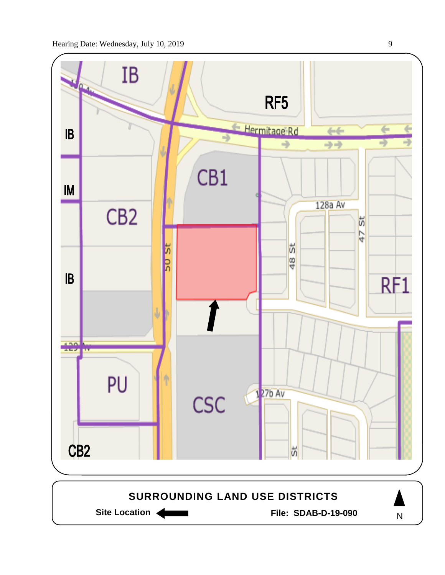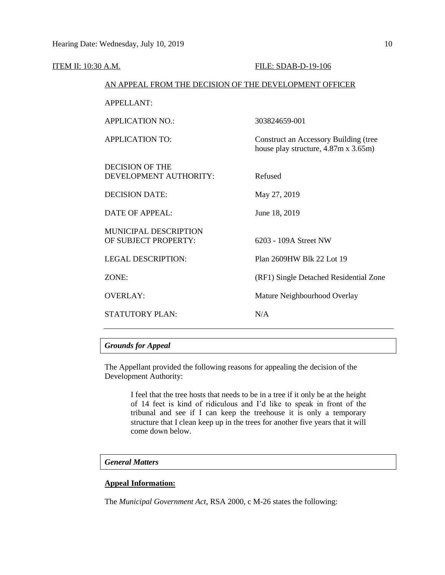| <b>ITEM II: 10:30 A.M.</b> |                                                        | FILE: SDAB-D-19-106                                                           |
|----------------------------|--------------------------------------------------------|-------------------------------------------------------------------------------|
|                            | AN APPEAL FROM THE DECISION OF THE DEVELOPMENT OFFICER |                                                                               |
|                            | <b>APPELLANT:</b>                                      |                                                                               |
|                            | <b>APPLICATION NO.:</b>                                | 303824659-001                                                                 |
|                            | <b>APPLICATION TO:</b>                                 | Construct an Accessory Building (tree<br>house play structure, 4.87m x 3.65m) |
|                            | <b>DECISION OF THE</b><br>DEVELOPMENT AUTHORITY:       | Refused                                                                       |
|                            | <b>DECISION DATE:</b>                                  | May 27, 2019                                                                  |
|                            | <b>DATE OF APPEAL:</b>                                 | June 18, 2019                                                                 |
|                            | <b>MUNICIPAL DESCRIPTION</b><br>OF SUBJECT PROPERTY:   | 6203 - 109A Street NW                                                         |
|                            | <b>LEGAL DESCRIPTION:</b>                              | Plan 2609HW Blk 22 Lot 19                                                     |
|                            | ZONE:                                                  | (RF1) Single Detached Residential Zone                                        |
|                            | <b>OVERLAY:</b>                                        | Mature Neighbourhood Overlay                                                  |
|                            | <b>STATUTORY PLAN:</b>                                 | N/A                                                                           |
|                            |                                                        |                                                                               |

# *Grounds for Appeal*

The Appellant provided the following reasons for appealing the decision of the Development Authority:

> I feel that the tree hosts that needs to be in a tree if it only be at the height of 14 feet is kind of ridiculous and I'd like to speak in front of the tribunal and see if I can keep the treehouse it is only a temporary structure that I clean keep up in the trees for another five years that it will come down below.

# *General Matters*

# **Appeal Information:**

The *Municipal Government Act*, RSA 2000, c M-26 states the following: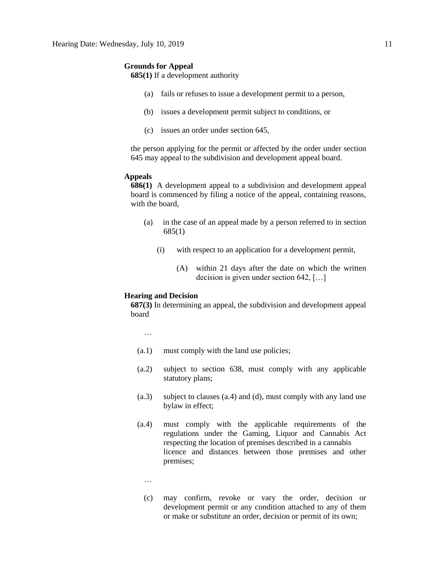#### **Grounds for Appeal**

**685(1)** If a development authority

- (a) fails or refuses to issue a development permit to a person,
- (b) issues a development permit subject to conditions, or
- (c) issues an order under section 645,

the person applying for the permit or affected by the order under section 645 may appeal to the subdivision and development appeal board.

### **Appeals**

**686(1)** A development appeal to a subdivision and development appeal board is commenced by filing a notice of the appeal, containing reasons, with the board,

- (a) in the case of an appeal made by a person referred to in section 685(1)
	- (i) with respect to an application for a development permit,
		- (A) within 21 days after the date on which the written decision is given under section 642, […]

# **Hearing and Decision**

**687(3)** In determining an appeal, the subdivision and development appeal board

…

- (a.1) must comply with the land use policies;
- (a.2) subject to section 638, must comply with any applicable statutory plans;
- (a.3) subject to clauses (a.4) and (d), must comply with any land use bylaw in effect;
- (a.4) must comply with the applicable requirements of the regulations under the Gaming, Liquor and Cannabis Act respecting the location of premises described in a cannabis licence and distances between those premises and other premises;
	- …
	- (c) may confirm, revoke or vary the order, decision or development permit or any condition attached to any of them or make or substitute an order, decision or permit of its own;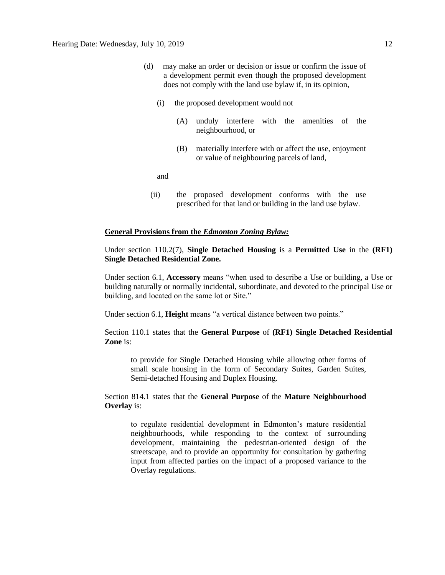- (d) may make an order or decision or issue or confirm the issue of a development permit even though the proposed development does not comply with the land use bylaw if, in its opinion,
	- (i) the proposed development would not
		- (A) unduly interfere with the amenities of the neighbourhood, or
		- (B) materially interfere with or affect the use, enjoyment or value of neighbouring parcels of land,

and

(ii) the proposed development conforms with the use prescribed for that land or building in the land use bylaw.

### **General Provisions from the** *Edmonton Zoning Bylaw:*

Under section 110.2(7), **Single Detached Housing** is a **Permitted Use** in the **(RF1) Single Detached Residential Zone.** 

Under section 6.1, **Accessory** means "when used to describe a Use or building, a Use or building naturally or normally incidental, subordinate, and devoted to the principal Use or building, and located on the same lot or Site."

Under section 6.1, **Height** means "a vertical distance between two points."

Section 110.1 states that the **General Purpose** of **(RF1) Single Detached Residential Zone** is:

to provide for Single Detached Housing while allowing other forms of small scale housing in the form of Secondary Suites, Garden Suites, Semi-detached Housing and Duplex Housing.

# Section 814.1 states that the **General Purpose** of the **Mature Neighbourhood Overlay** is:

to regulate residential development in Edmonton's mature residential neighbourhoods, while responding to the context of surrounding development, maintaining the pedestrian-oriented design of the streetscape, and to provide an opportunity for consultation by gathering input from affected parties on the impact of a proposed variance to the Overlay regulations.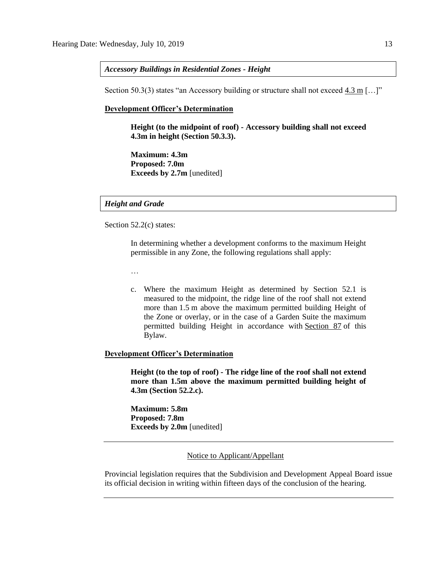#### *Accessory Buildings in Residential Zones - Height*

Section 50.3(3) states "an Accessory building or structure shall not exceed  $4.3$  m [...]"

#### **Development Officer's Determination**

**Height (to the midpoint of roof) - Accessory building shall not exceed 4.3m in height (Section 50.3.3).**

**Maximum: 4.3m Proposed: 7.0m Exceeds by 2.7m** [unedited]

### *Height and Grade*

Section 52.2(c) states:

In determining whether a development conforms to the maximum Height permissible in any Zone, the following regulations shall apply:

…

c. Where the maximum Height as determined by Section 52.1 is measured to the midpoint, the ridge line of the roof shall not extend more than [1.5](javascript:void(0);) m above the maximum permitted building Height of the Zone or overlay, or in the case of a Garden Suite the maximum permitted building Height in accordance with [Section 87](http://webdocs.edmonton.ca/InfraPlan/zoningbylaw/ZoningBylaw/Part1/Special_Land/87_Garage_and_Garden_Suites.htm) of this Bylaw.

#### **Development Officer's Determination**

**Height (to the top of roof) - The ridge line of the roof shall not extend more than 1.5m above the maximum permitted building height of 4.3m (Section 52.2.c).**

**Maximum: 5.8m Proposed: 7.8m Exceeds by 2.0m** [unedited]

#### Notice to Applicant/Appellant

Provincial legislation requires that the Subdivision and Development Appeal Board issue its official decision in writing within fifteen days of the conclusion of the hearing.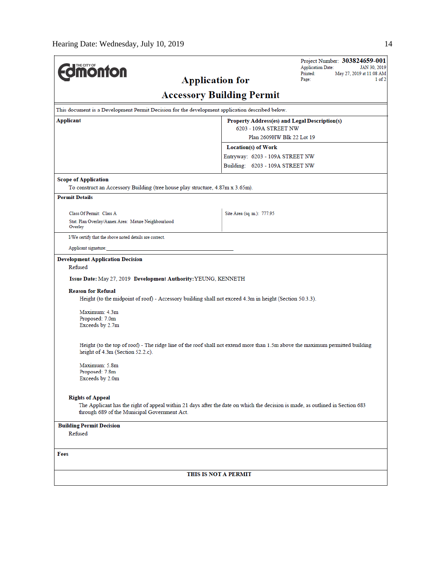| <b>dmonton</b>                                                                                                                                                                                                                                               | <b>Application for</b>          | Project Number: 303824659-001<br><b>Application Date:</b><br>JAN 30, 2019<br>Printed:<br>May 27, 2019 at 11:08 AM<br>Page:<br>1 of 2 |  |  |  |
|--------------------------------------------------------------------------------------------------------------------------------------------------------------------------------------------------------------------------------------------------------------|---------------------------------|--------------------------------------------------------------------------------------------------------------------------------------|--|--|--|
| <b>Accessory Building Permit</b>                                                                                                                                                                                                                             |                                 |                                                                                                                                      |  |  |  |
| This document is a Development Permit Decision for the development application described below.                                                                                                                                                              |                                 |                                                                                                                                      |  |  |  |
| Applicant<br>Property Address(es) and Legal Description(s)<br>6203 - 109A STREET NW                                                                                                                                                                          |                                 |                                                                                                                                      |  |  |  |
|                                                                                                                                                                                                                                                              | Plan 2609HW Blk 22 Lot 19       |                                                                                                                                      |  |  |  |
|                                                                                                                                                                                                                                                              | Location(s) of Work             |                                                                                                                                      |  |  |  |
|                                                                                                                                                                                                                                                              | Entryway: 6203 - 109A STREET NW |                                                                                                                                      |  |  |  |
|                                                                                                                                                                                                                                                              | Building: 6203 - 109A STREET NW |                                                                                                                                      |  |  |  |
| <b>Scope of Application</b><br>To construct an Accessory Building (tree house play structure, 4.87m x 3.65m).                                                                                                                                                |                                 |                                                                                                                                      |  |  |  |
| <b>Permit Details</b>                                                                                                                                                                                                                                        |                                 |                                                                                                                                      |  |  |  |
| Class Of Permit: Class A                                                                                                                                                                                                                                     | Site Area (sq. m.): 777.95      |                                                                                                                                      |  |  |  |
| Stat. Plan Overlay/Annex Area: Mature Neighbourhood<br>Overlay                                                                                                                                                                                               |                                 |                                                                                                                                      |  |  |  |
| I/We certify that the above noted details are correct.                                                                                                                                                                                                       |                                 |                                                                                                                                      |  |  |  |
| Applicant signature:                                                                                                                                                                                                                                         |                                 |                                                                                                                                      |  |  |  |
| Issue Date: May 27, 2019 Development Authority: YEUNG, KENNETH<br><b>Reason for Refusal</b><br>Height (to the midpoint of roof) - Accessory building shall not exceed 4.3m in height (Section 50.3.3).<br>Maximum: 4.3m<br>Proposed: 7.0m<br>Exceeds by 2.7m |                                 |                                                                                                                                      |  |  |  |
| Height (to the top of roof) - The ridge line of the roof shall not extend more than 1.5m above the maximum permitted building<br>height of 4.3m (Section 52.2.c).                                                                                            |                                 |                                                                                                                                      |  |  |  |
| Maximum: 5.8m<br>Proposed: 7.8m<br>Exceeds by 2.0m                                                                                                                                                                                                           |                                 |                                                                                                                                      |  |  |  |
| <b>Rights of Appeal</b>                                                                                                                                                                                                                                      |                                 |                                                                                                                                      |  |  |  |
| The Applicant has the right of appeal within 21 days after the date on which the decision is made, as outlined in Section 683<br>through 689 of the Municipal Government Act.                                                                                |                                 |                                                                                                                                      |  |  |  |
| <b>Building Permit Decision</b><br>Refused                                                                                                                                                                                                                   |                                 |                                                                                                                                      |  |  |  |
| Fees                                                                                                                                                                                                                                                         |                                 |                                                                                                                                      |  |  |  |
|                                                                                                                                                                                                                                                              | THIS IS NOT A PERMIT            |                                                                                                                                      |  |  |  |
|                                                                                                                                                                                                                                                              |                                 |                                                                                                                                      |  |  |  |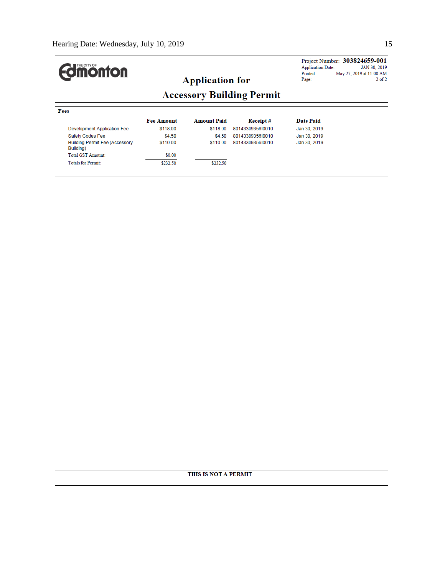# Project Number: 303824659-001 **Edinonton Application Date:** JAN 30, 2019 May 27, 2019 at 11:08 AM Printed: **Application for** Page:  $2$  of  $2$ **Accessory Building Permit** Fees **Fee Amount Amount Paid Receipt# Date Paid** Development Application Fee \$118.00 \$118.00 8014330935610010 Jan 30, 2019 Safety Codes Fee \$4.50 \$4.50 8014330935610010 Jan 30, 2019 \$110.00 \$110.00 8014330935610010 Jan 30, 2019 **Building Permit Fee (Accessory** Building) **Total GST Amount:** \$0.00 Totals for Permit: \$232.50 \$232.50 THIS IS NOT A PERMIT